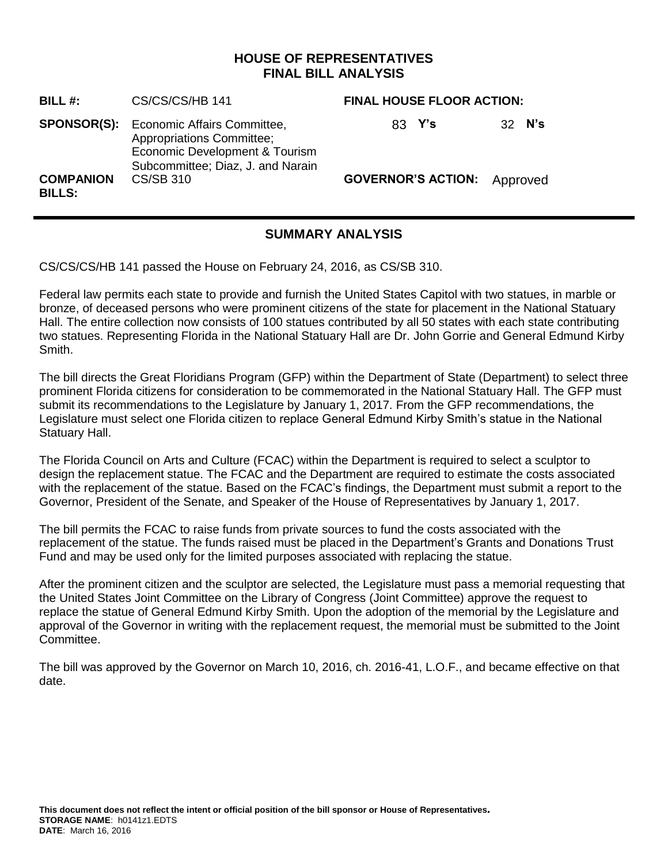# **HOUSE OF REPRESENTATIVES FINAL BILL ANALYSIS**

| <b>BILL#:</b>                     | CS/CS/CS/HB 141                                                                                                                        | <b>FINAL HOUSE FLOOR ACTION:</b>   |        |
|-----------------------------------|----------------------------------------------------------------------------------------------------------------------------------------|------------------------------------|--------|
| <b>SPONSOR(S):</b>                | Economic Affairs Committee,<br><b>Appropriations Committee;</b><br>Economic Development & Tourism<br>Subcommittee; Diaz, J. and Narain | 83 Y's                             | 32 N's |
| <b>COMPANION</b><br><b>BILLS:</b> | CS/SB 310                                                                                                                              | <b>GOVERNOR'S ACTION:</b> Approved |        |

# **SUMMARY ANALYSIS**

CS/CS/CS/HB 141 passed the House on February 24, 2016, as CS/SB 310.

Federal law permits each state to provide and furnish the United States Capitol with two statues, in marble or bronze, of deceased persons who were prominent citizens of the state for placement in the National Statuary Hall. The entire collection now consists of 100 statues contributed by all 50 states with each state contributing two statues. Representing Florida in the National Statuary Hall are Dr. John Gorrie and General Edmund Kirby Smith.

The bill directs the Great Floridians Program (GFP) within the Department of State (Department) to select three prominent Florida citizens for consideration to be commemorated in the National Statuary Hall. The GFP must submit its recommendations to the Legislature by January 1, 2017. From the GFP recommendations, the Legislature must select one Florida citizen to replace General Edmund Kirby Smith's statue in the National Statuary Hall.

The Florida Council on Arts and Culture (FCAC) within the Department is required to select a sculptor to design the replacement statue. The FCAC and the Department are required to estimate the costs associated with the replacement of the statue. Based on the FCAC's findings, the Department must submit a report to the Governor, President of the Senate, and Speaker of the House of Representatives by January 1, 2017.

The bill permits the FCAC to raise funds from private sources to fund the costs associated with the replacement of the statue. The funds raised must be placed in the Department's Grants and Donations Trust Fund and may be used only for the limited purposes associated with replacing the statue.

After the prominent citizen and the sculptor are selected, the Legislature must pass a memorial requesting that the United States Joint Committee on the Library of Congress (Joint Committee) approve the request to replace the statue of General Edmund Kirby Smith. Upon the adoption of the memorial by the Legislature and approval of the Governor in writing with the replacement request, the memorial must be submitted to the Joint Committee.

The bill was approved by the Governor on March 10, 2016, ch. 2016-41, L.O.F., and became effective on that date.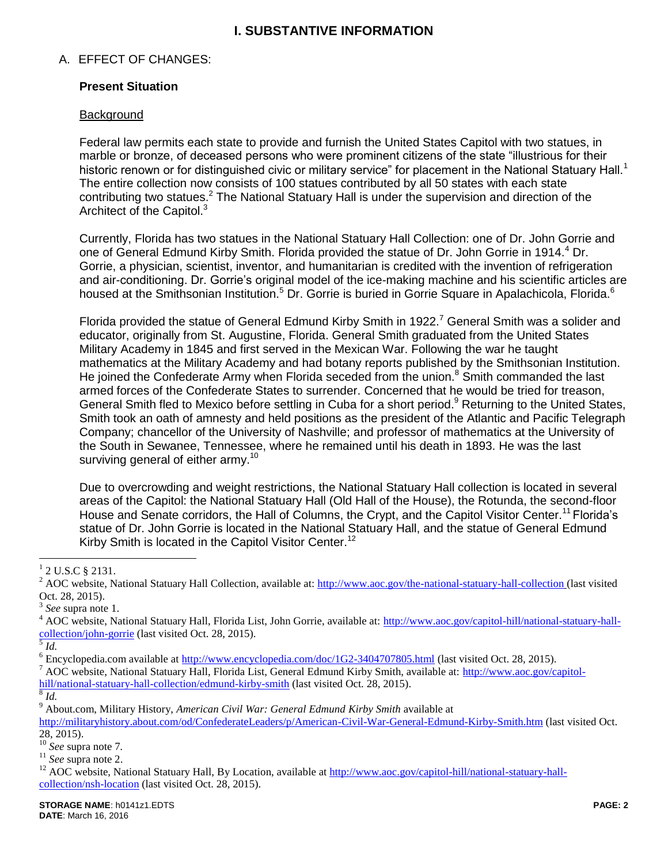# **I. SUBSTANTIVE INFORMATION**

## A. EFFECT OF CHANGES:

## **Present Situation**

#### **Background**

Federal law permits each state to provide and furnish the United States Capitol with two statues, in marble or bronze, of deceased persons who were prominent citizens of the state "illustrious for their historic renown or for distinguished civic or military service" for placement in the National Statuary Hall.<sup>1</sup> The entire collection now consists of 100 statues contributed by all 50 states with each state contributing two statues.<sup>2</sup> The National Statuary Hall is under the supervision and direction of the Architect of the Capitol.<sup>3</sup>

Currently, Florida has two statues in the National Statuary Hall Collection: one of Dr. John Gorrie and one of General Edmund Kirby Smith. Florida provided the statue of Dr. John Gorrie in 1914.<sup>4</sup> Dr. Gorrie, a physician, scientist, inventor, and humanitarian is credited with the invention of refrigeration and air-conditioning. Dr. Gorrie's original model of the ice-making machine and his scientific articles are housed at the Smithsonian Institution.<sup>5</sup> Dr. Gorrie is buried in Gorrie Square in Apalachicola, Florida.<sup>6</sup>

Florida provided the statue of General Edmund Kirby Smith in 1922.<sup>7</sup> General Smith was a solider and educator, originally from St. Augustine, Florida. General Smith graduated from the United States Military Academy in 1845 and first served in the Mexican War. Following the war he taught mathematics at the Military Academy and had botany reports published by the Smithsonian Institution. He joined the Confederate Army when Florida seceded from the union.<sup>8</sup> Smith commanded the last armed forces of the Confederate States to surrender. Concerned that he would be tried for treason, General Smith fled to Mexico before settling in Cuba for a short period.<sup>9</sup> Returning to the United States, Smith took an oath of amnesty and held positions as the president of the Atlantic and Pacific Telegraph Company; chancellor of the University of Nashville; and professor of mathematics at the University of the South in Sewanee, Tennessee, where he remained until his death in 1893. He was the last surviving general of either army.<sup>10</sup>

Due to overcrowding and weight restrictions, the National Statuary Hall collection is located in several areas of the Capitol: the National Statuary Hall (Old Hall of the House), the Rotunda, the second-floor House and Senate corridors, the Hall of Columns, the Crypt, and the Capitol Visitor Center.<sup>11</sup> Florida's statue of Dr. John Gorrie is located in the National Statuary Hall, and the statue of General Edmund Kirby Smith is located in the Capitol Visitor Center.<sup>12</sup>

 $\overline{a}$ 

<sup>9</sup> About.com, Military History, *American Civil War: General Edmund Kirby Smith* available at

<http://militaryhistory.about.com/od/ConfederateLeaders/p/American-Civil-War-General-Edmund-Kirby-Smith.htm> (last visited Oct.  $28, 2015$ ).

<sup>10</sup> *See* supra note 7*.*

 $1$  2 U.S.C § 2131.

<sup>&</sup>lt;sup>2</sup> AOC website, National Statuary Hall Collection, available at:<http://www.aoc.gov/the-national-statuary-hall-collection> (last visited Oct. 28, 2015).

<sup>3</sup> *See* supra note 1.

<sup>&</sup>lt;sup>4</sup> AOC website, National Statuary Hall, Florida List, John Gorrie, available at: [http://www.aoc.gov/capitol-hill/national-statuary-hall](http://www.aoc.gov/capitol-hill/national-statuary-hall-collection/john-gorrie) $\frac{\text{collection/john-gorrie}}{5 \text{ L}}$  $\frac{\text{collection/john-gorrie}}{5 \text{ L}}$  $\frac{\text{collection/john-gorrie}}{5 \text{ L}}$  (last visited Oct. 28, 2015).

*Id.*

 $6$  Encyclopedia.com available at  $\frac{http://www.encyclopedia.com/doc/1G2-3404707805.html}{http://www.encyclopedia.com/doc/1G2-3404707805.html}$  (last visited Oct. 28, 2015).

<sup>&</sup>lt;sup>7</sup> AOC website, National Statuary Hall, Florida List, General Edmund Kirby Smith, available at: [http://www.aoc.gov/capitol](http://www.aoc.gov/capitol-hill/national-statuary-hall-collection/edmund-kirby-smith)[hill/national-statuary-hall-collection/edmund-kirby-smith](http://www.aoc.gov/capitol-hill/national-statuary-hall-collection/edmund-kirby-smith) (last visited Oct. 28, 2015).

<sup>8</sup> *Id.*

<sup>11</sup> *See* supra note 2.

<sup>&</sup>lt;sup>12</sup> AOC website, National Statuary Hall, By Location, available at [http://www.aoc.gov/capitol-hill/national-statuary-hall](http://www.aoc.gov/capitol-hill/national-statuary-hall-collection/nsh-location)[collection/nsh-location](http://www.aoc.gov/capitol-hill/national-statuary-hall-collection/nsh-location) (last visited Oct. 28, 2015).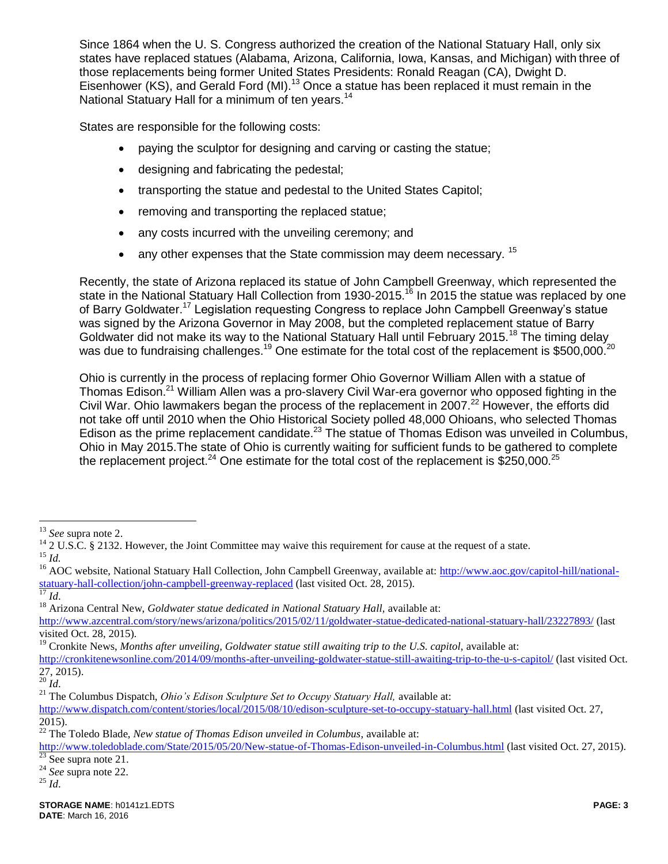Since 1864 when the U. S. Congress authorized the creation of the National Statuary Hall, only six states have replaced statues (Alabama, Arizona, California, Iowa, Kansas, and Michigan) with three of those replacements being former United States Presidents: Ronald Reagan (CA), Dwight D. Eisenhower (KS), and Gerald Ford (MI).<sup>13</sup> Once a statue has been replaced it must remain in the National Statuary Hall for a minimum of ten years.<sup>14</sup>

States are responsible for the following costs:

- paying the sculptor for designing and carving or casting the statue;
- designing and fabricating the pedestal;
- transporting the statue and pedestal to the United States Capitol;
- removing and transporting the replaced statue;
- any costs incurred with the unveiling ceremony; and
- any other expenses that the State commission may deem necessary.  $15$

Recently, the state of Arizona replaced its statue of John Campbell Greenway, which represented the state in the National Statuary Hall Collection from 1930-2015.<sup>16</sup> In 2015 the statue was replaced by one of Barry Goldwater.<sup>17</sup> Legislation requesting Congress to replace John Campbell Greenway's statue was signed by the Arizona Governor in May 2008, but the completed replacement statue of Barry Goldwater did not make its way to the National Statuary Hall until February 2015.<sup>18</sup> The timing delay was due to fundraising challenges.<sup>19</sup> One estimate for the total cost of the replacement is \$500,000.<sup>20</sup>

Ohio is currently in the process of replacing former Ohio Governor William Allen with a statue of Thomas Edison.<sup>21</sup> William Allen was a pro-slavery Civil War-era governor who opposed fighting in the Civil War. Ohio lawmakers began the process of the replacement in 2007.<sup>22</sup> However, the efforts did not take off until 2010 when the Ohio Historical Society polled 48,000 Ohioans, who selected Thomas Edison as the prime replacement candidate.<sup>23</sup> The statue of Thomas Edison was unveiled in Columbus, Ohio in May 2015.The state of Ohio is currently waiting for sufficient funds to be gathered to complete the replacement project.<sup>24</sup> One estimate for the total cost of the replacement is  $$250,000$ .<sup>25</sup>

<sup>13</sup> *See* supra note 2.

 $14$  2 U.S.C. § 2132. However, the Joint Committee may waive this requirement for cause at the request of a state. <sup>15</sup> *Id.*

<sup>&</sup>lt;sup>16</sup> AOC website, National Statuary Hall Collection, John Campbell Greenway, available at: [http://www.aoc.gov/capitol-hill/national](http://www.aoc.gov/capitol-hill/national-statuary-hall-collection/john-campbell-greenway-replaced)[statuary-hall-collection/john-campbell-greenway-replaced](http://www.aoc.gov/capitol-hill/national-statuary-hall-collection/john-campbell-greenway-replaced) (last visited Oct. 28, 2015).

<sup>17</sup> *Id*.

<sup>&</sup>lt;sup>18</sup> Arizona Central New, *Goldwater statue dedicated in National Statuary Hall*, available at:

<http://www.azcentral.com/story/news/arizona/politics/2015/02/11/goldwater-statue-dedicated-national-statuary-hall/23227893/> (last visited Oct. 28, 2015).

<sup>&</sup>lt;sup>19</sup> Cronkite News, *Months after unveiling, Goldwater statue still awaiting trip to the U.S. capitol, available at:* 

<http://cronkitenewsonline.com/2014/09/months-after-unveiling-goldwater-statue-still-awaiting-trip-to-the-u-s-capitol/> (last visited Oct. 27, 2015).

 $^{20}$  *Id*.

<sup>&</sup>lt;sup>21</sup> The Columbus Dispatch, *Ohio's Edison Sculpture Set to Occupy Statuary Hall*, available at:

<http://www.dispatch.com/content/stories/local/2015/08/10/edison-sculpture-set-to-occupy-statuary-hall.html> (last visited Oct. 27, 2015).

<sup>22</sup> The Toledo Blade, *New statue of Thomas Edison unveiled in Columbus*, available at:

<http://www.toledoblade.com/State/2015/05/20/New-statue-of-Thomas-Edison-unveiled-in-Columbus.html> (last visited Oct. 27, 2015).  $23$  See supra note 21.

<sup>24</sup> *See* supra note 22.

 $^{25}$   $\overline{1}d$ .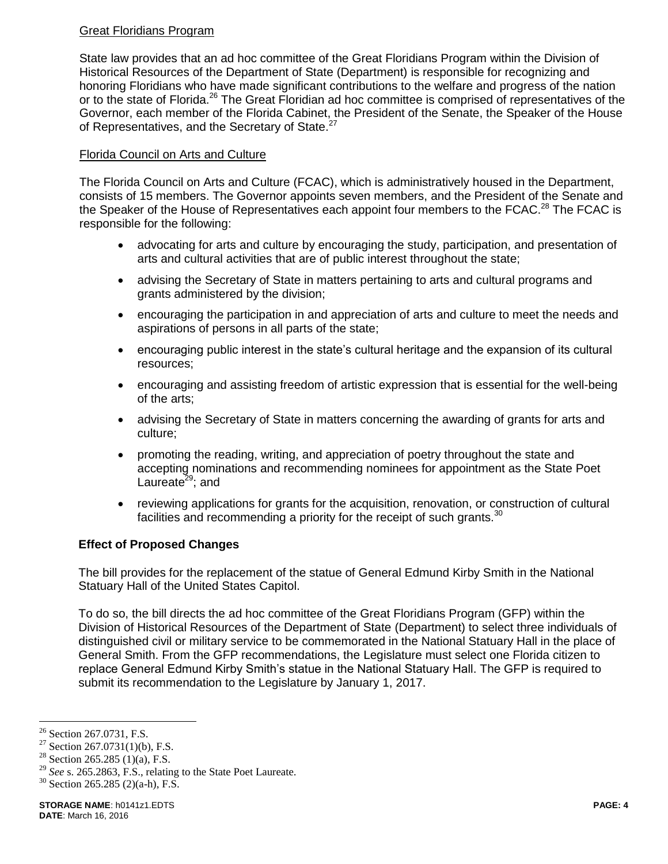## Great Floridians Program

State law provides that an ad hoc committee of the Great Floridians Program within the Division of Historical Resources of the Department of State (Department) is responsible for recognizing and honoring Floridians who have made significant contributions to the welfare and progress of the nation or to the state of Florida.<sup>26</sup> The Great Floridian ad hoc committee is comprised of representatives of the Governor, each member of the Florida Cabinet, the President of the Senate, the Speaker of the House of Representatives, and the Secretary of State.<sup>27</sup>

## Florida Council on Arts and Culture

The Florida Council on Arts and Culture (FCAC), which is administratively housed in the Department, consists of 15 members. The Governor appoints seven members, and the President of the Senate and the Speaker of the House of Representatives each appoint four members to the FCAC.<sup>28</sup> The FCAC is responsible for the following:

- advocating for arts and culture by encouraging the study, participation, and presentation of arts and cultural activities that are of public interest throughout the state;
- advising the Secretary of State in matters pertaining to arts and cultural programs and grants administered by the division;
- encouraging the participation in and appreciation of arts and culture to meet the needs and aspirations of persons in all parts of the state;
- encouraging public interest in the state's cultural heritage and the expansion of its cultural resources;
- encouraging and assisting freedom of artistic expression that is essential for the well-being of the arts;
- advising the Secretary of State in matters concerning the awarding of grants for arts and culture;
- promoting the reading, writing, and appreciation of poetry throughout the state and accepting nominations and recommending nominees for appointment as the State Poet Laureate $29$ ; and
- reviewing applications for grants for the acquisition, renovation, or construction of cultural facilities and recommending a priority for the receipt of such grants. $30$

# **Effect of Proposed Changes**

The bill provides for the replacement of the statue of General Edmund Kirby Smith in the National Statuary Hall of the United States Capitol.

To do so, the bill directs the ad hoc committee of the Great Floridians Program (GFP) within the Division of Historical Resources of the Department of State (Department) to select three individuals of distinguished civil or military service to be commemorated in the National Statuary Hall in the place of General Smith. From the GFP recommendations, the Legislature must select one Florida citizen to replace General Edmund Kirby Smith's statue in the National Statuary Hall. The GFP is required to submit its recommendation to the Legislature by January 1, 2017.

<sup>&</sup>lt;sup>26</sup> Section 267.0731, F.S.

<sup>&</sup>lt;sup>27</sup> Section 267.0731(1)(b), F.S.

<sup>&</sup>lt;sup>28</sup> Section 265.285 (1)(a), F.S.

<sup>29</sup> *See* s. 265.2863, F.S., relating to the State Poet Laureate.

 $30$  Section 265.285 (2)(a-h), F.S.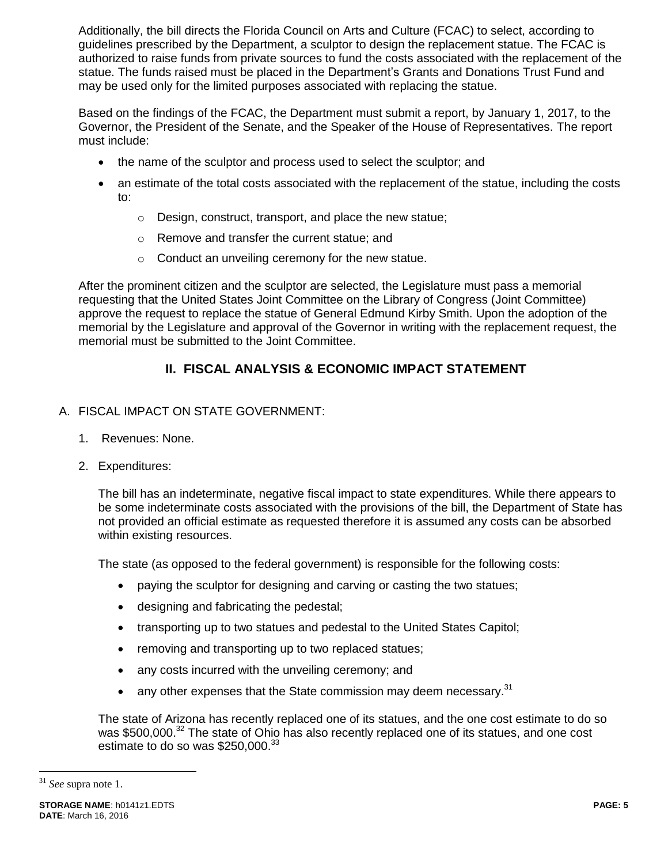Additionally, the bill directs the Florida Council on Arts and Culture (FCAC) to select, according to guidelines prescribed by the Department, a sculptor to design the replacement statue. The FCAC is authorized to raise funds from private sources to fund the costs associated with the replacement of the statue. The funds raised must be placed in the Department's Grants and Donations Trust Fund and may be used only for the limited purposes associated with replacing the statue.

Based on the findings of the FCAC, the Department must submit a report, by January 1, 2017, to the Governor, the President of the Senate, and the Speaker of the House of Representatives. The report must include:

- the name of the sculptor and process used to select the sculptor; and
- an estimate of the total costs associated with the replacement of the statue, including the costs to:
	- o Design, construct, transport, and place the new statue;
	- o Remove and transfer the current statue; and
	- o Conduct an unveiling ceremony for the new statue.

After the prominent citizen and the sculptor are selected, the Legislature must pass a memorial requesting that the United States Joint Committee on the Library of Congress (Joint Committee) approve the request to replace the statue of General Edmund Kirby Smith. Upon the adoption of the memorial by the Legislature and approval of the Governor in writing with the replacement request, the memorial must be submitted to the Joint Committee.

# **II. FISCAL ANALYSIS & ECONOMIC IMPACT STATEMENT**

- A. FISCAL IMPACT ON STATE GOVERNMENT:
	- 1. Revenues: None.
	- 2. Expenditures:

The bill has an indeterminate, negative fiscal impact to state expenditures. While there appears to be some indeterminate costs associated with the provisions of the bill, the Department of State has not provided an official estimate as requested therefore it is assumed any costs can be absorbed within existing resources.

The state (as opposed to the federal government) is responsible for the following costs:

- paying the sculptor for designing and carving or casting the two statues;
- designing and fabricating the pedestal;
- transporting up to two statues and pedestal to the United States Capitol;
- removing and transporting up to two replaced statues;
- any costs incurred with the unveiling ceremony; and
- any other expenses that the State commission may deem necessary. $31$

The state of Arizona has recently replaced one of its statues, and the one cost estimate to do so was \$500,000.<sup>32</sup> The state of Ohio has also recently replaced one of its statues, and one cost estimate to do so was \$250,000. $33$ 

<sup>31</sup> *See* supra note 1.